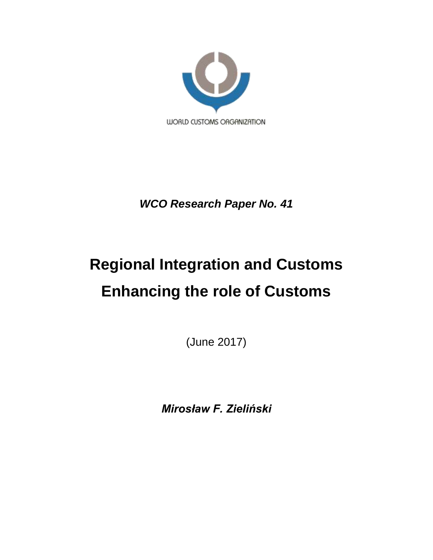

*WCO Research Paper No. 41*

# **Regional Integration and Customs Enhancing the role of Customs**

(June 2017)

*Mirosław F. Zieliński*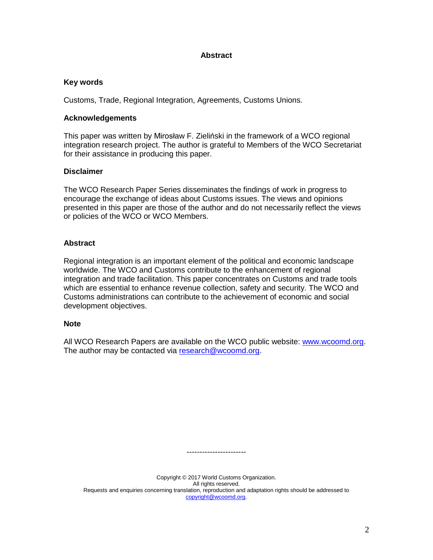## **Abstract**

### **Key words**

Customs, Trade, Regional Integration, Agreements, Customs Unions.

### **Acknowledgements**

This paper was written by Mirosław F. Zieliński in the framework of a WCO regional integration research project. The author is grateful to Members of the WCO Secretariat for their assistance in producing this paper.

### **Disclaimer**

The WCO Research Paper Series disseminates the findings of work in progress to encourage the exchange of ideas about Customs issues. The views and opinions presented in this paper are those of the author and do not necessarily reflect the views or policies of the WCO or WCO Members.

## **Abstract**

Regional integration is an important element of the political and economic landscape worldwide. The WCO and Customs contribute to the enhancement of regional integration and trade facilitation. This paper concentrates on Customs and trade tools which are essential to enhance revenue collection, safety and security. The WCO and Customs administrations can contribute to the achievement of economic and social development objectives.

#### **Note**

All WCO Research Papers are available on the WCO public website: [www.wcoomd.org.](http://www.wcoomd.org/) The author may be contacted via [research@wcoomd.org.](mailto:research@wcoomd.org)

Copyright © 2017 World Customs Organization. All rights reserved. Requests and enquiries concerning translation, reproduction and adaptation rights should be addressed to [copyright@wcoomd.org.](mailto:copyright@wcoomd.org)

-----------------------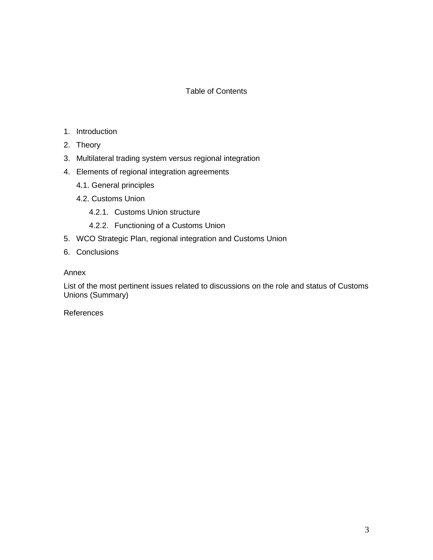# Table of Contents

- 1. Introduction
- 2. Theory
- 3. Multilateral trading system versus regional integration
- 4. Elements of regional integration agreements
	- 4.1. General principles
	- 4.2. Customs Union
		- 4.2.1. Customs Union structure
		- 4.2.2. Functioning of a Customs Union
- 5. WCO Strategic Plan, regional integration and Customs Union
- 6. Conclusions

Annex

List of the most pertinent issues related to discussions on the role and status of Customs Unions (Summary)

References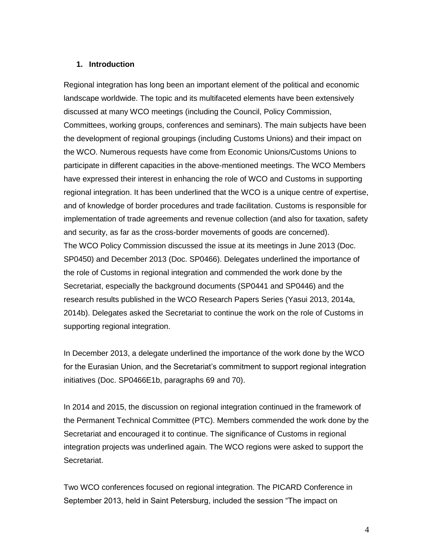#### **1. Introduction**

Regional integration has long been an important element of the political and economic landscape worldwide. The topic and its multifaceted elements have been extensively discussed at many WCO meetings (including the Council, Policy Commission, Committees, working groups, conferences and seminars). The main subjects have been the development of regional groupings (including Customs Unions) and their impact on the WCO. Numerous requests have come from Economic Unions/Customs Unions to participate in different capacities in the above-mentioned meetings. The WCO Members have expressed their interest in enhancing the role of WCO and Customs in supporting regional integration. It has been underlined that the WCO is a unique centre of expertise, and of knowledge of border procedures and trade facilitation. Customs is responsible for implementation of trade agreements and revenue collection (and also for taxation, safety and security, as far as the cross-border movements of goods are concerned). The WCO Policy Commission discussed the issue at its meetings in June 2013 (Doc. SP0450) and December 2013 (Doc. SP0466). Delegates underlined the importance of the role of Customs in regional integration and commended the work done by the Secretariat, especially the background documents (SP0441 and SP0446) and the research results published in the WCO Research Papers Series (Yasui 2013, 2014a, 2014b). Delegates asked the Secretariat to continue the work on the role of Customs in supporting regional integration.

In December 2013, a delegate underlined the importance of the work done by the WCO for the Eurasian Union, and the Secretariat's commitment to support regional integration initiatives (Doc. SP0466E1b, paragraphs 69 and 70).

In 2014 and 2015, the discussion on regional integration continued in the framework of the Permanent Technical Committee (PTC). Members commended the work done by the Secretariat and encouraged it to continue. The significance of Customs in regional integration projects was underlined again. The WCO regions were asked to support the Secretariat.

Two WCO conferences focused on regional integration. The PICARD Conference in September 2013, held in Saint Petersburg, included the session "The impact on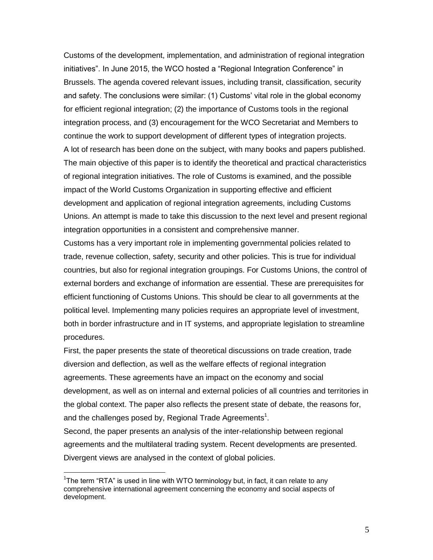Customs of the development, implementation, and administration of regional integration initiatives". In June 2015, the WCO hosted a "Regional Integration Conference" in Brussels. The agenda covered relevant issues, including transit, classification, security and safety. The conclusions were similar: (1) Customs' vital role in the global economy for efficient regional integration; (2) the importance of Customs tools in the regional integration process, and (3) encouragement for the WCO Secretariat and Members to continue the work to support development of different types of integration projects. A lot of research has been done on the subject, with many books and papers published. The main objective of this paper is to identify the theoretical and practical characteristics of regional integration initiatives. The role of Customs is examined, and the possible impact of the World Customs Organization in supporting effective and efficient development and application of regional integration agreements, including Customs Unions. An attempt is made to take this discussion to the next level and present regional integration opportunities in a consistent and comprehensive manner.

Customs has a very important role in implementing governmental policies related to trade, revenue collection, safety, security and other policies. This is true for individual countries, but also for regional integration groupings. For Customs Unions, the control of external borders and exchange of information are essential. These are prerequisites for efficient functioning of Customs Unions. This should be clear to all governments at the political level. Implementing many policies requires an appropriate level of investment, both in border infrastructure and in IT systems, and appropriate legislation to streamline procedures.

First, the paper presents the state of theoretical discussions on trade creation, trade diversion and deflection, as well as the welfare effects of regional integration agreements. These agreements have an impact on the economy and social development, as well as on internal and external policies of all countries and territories in the global context. The paper also reflects the present state of debate, the reasons for, and the challenges posed by, Regional Trade Agreements<sup>1</sup>.

Second, the paper presents an analysis of the inter-relationship between regional agreements and the multilateral trading system. Recent developments are presented. Divergent views are analysed in the context of global policies.

<sup>&</sup>lt;sup>1</sup>The term "RTA" is used in line with WTO terminology but, in fact, it can relate to any comprehensive international agreement concerning the economy and social aspects of development.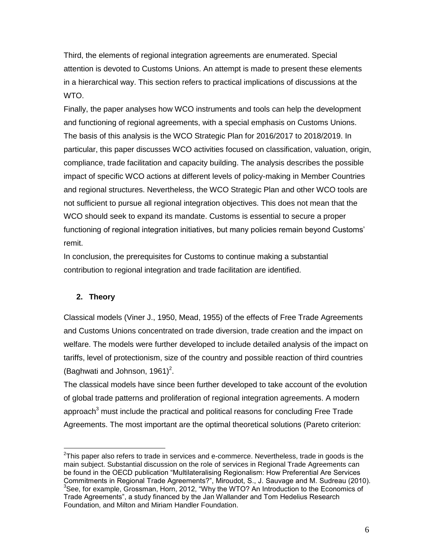Third, the elements of regional integration agreements are enumerated. Special attention is devoted to Customs Unions. An attempt is made to present these elements in a hierarchical way. This section refers to practical implications of discussions at the WTO.

Finally, the paper analyses how WCO instruments and tools can help the development and functioning of regional agreements, with a special emphasis on Customs Unions. The basis of this analysis is the WCO Strategic Plan for 2016/2017 to 2018/2019. In particular, this paper discusses WCO activities focused on classification, valuation, origin, compliance, trade facilitation and capacity building. The analysis describes the possible impact of specific WCO actions at different levels of policy-making in Member Countries and regional structures. Nevertheless, the WCO Strategic Plan and other WCO tools are not sufficient to pursue all regional integration objectives. This does not mean that the WCO should seek to expand its mandate. Customs is essential to secure a proper functioning of regional integration initiatives, but many policies remain beyond Customs' remit.

In conclusion, the prerequisites for Customs to continue making a substantial contribution to regional integration and trade facilitation are identified.

# **2. Theory**

Classical models (Viner J., 1950, Mead, 1955) of the effects of Free Trade Agreements and Customs Unions concentrated on trade diversion, trade creation and the impact on welfare. The models were further developed to include detailed analysis of the impact on tariffs, level of protectionism, size of the country and possible reaction of third countries (Baghwati and Johnson, 1961) $^2$ .

The classical models have since been further developed to take account of the evolution of global trade patterns and proliferation of regional integration agreements. A modern approach $3$  must include the practical and political reasons for concluding Free Trade Agreements. The most important are the optimal theoretical solutions (Pareto criterion:

 2 This paper also refers to trade in services and e-commerce. Nevertheless, trade in goods is the main subject. Substantial discussion on the role of services in Regional Trade Agreements can be found in the OECD publication "Multilateralising Regionalism: How Preferential Are Services Commitments in Regional Trade Agreements?", Miroudot, S., J. Sauvage and M. Sudreau (2010). <sup>3</sup>See, for example, Grossman, Horn, 2012, "Why the WTO? An Introduction to the Economics of Trade Agreements", a study financed by the Jan Wallander and Tom Hedelius Research Foundation, and Milton and Miriam Handler Foundation.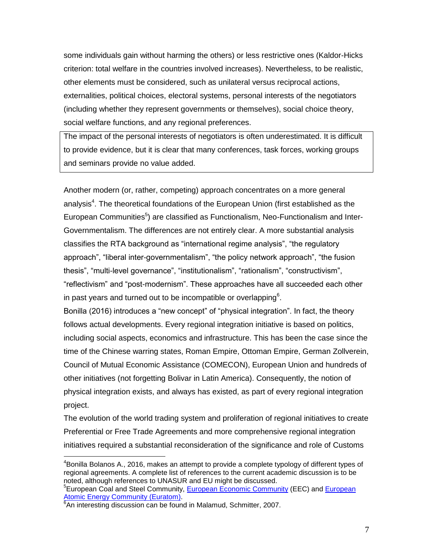some individuals gain without harming the others) or less restrictive ones (Kaldor-Hicks criterion: total welfare in the countries involved increases). Nevertheless, to be realistic, other elements must be considered, such as unilateral versus reciprocal actions, externalities, political choices, electoral systems, personal interests of the negotiators (including whether they represent governments or themselves), social choice theory, social welfare functions, and any regional preferences.

The impact of the personal interests of negotiators is often underestimated. It is difficult to provide evidence, but it is clear that many conferences, task forces, working groups and seminars provide no value added.

Another modern (or, rather, competing) approach concentrates on a more general analysis<sup>4</sup>. The theoretical foundations of the European Union (first established as the European Communities<sup>5</sup>) are classified as Functionalism, Neo-Functionalism and Inter-Governmentalism. The differences are not entirely clear. A more substantial analysis classifies the RTA background as "international regime analysis", "the regulatory approach", "liberal inter-governmentalism", "the policy network approach", "the fusion thesis", "multi-level governance", "institutionalism", "rationalism", "constructivism", "reflectivism" and "post-modernism". These approaches have all succeeded each other in past years and turned out to be incompatible or overlapping<sup>6</sup>.

Bonilla (2016) introduces a "new concept" of "physical integration". In fact, the theory follows actual developments. Every regional integration initiative is based on politics, including social aspects, economics and infrastructure. This has been the case since the time of the Chinese warring states, Roman Empire, Ottoman Empire, German Zollverein, Council of Mutual Economic Assistance (COMECON), European Union and hundreds of other initiatives (not forgetting Bolivar in Latin America). Consequently, the notion of physical integration exists, and always has existed, as part of every regional integration project.

The evolution of the world trading system and proliferation of regional initiatives to create Preferential or Free Trade Agreements and more comprehensive regional integration initiatives required a substantial reconsideration of the significance and role of Customs

 $\overline{a}$  ${}^{4}$ Bonilla Bolanos A., 2016, makes an attempt to provide a complete typology of different types of regional agreements. A complete list of references to the current academic discussion is to be noted, although references to UNASUR and EU might be discussed.

<sup>&</sup>lt;sup>5</sup> European Coal and Steel Community, [European Economic Community](https://en.wikipedia.org/wiki/European_Economic_Community) (EEC) and [European](https://en.wikipedia.org/wiki/European_Atomic_Energy_Community) <u>[Atomic Energy Community](https://en.wikipedia.org/wiki/European_Atomic_Energy_Community) (Euratom)</u>.<br><sup>6</sup>An interesting discussion can be found in Malamud, Schmitter, 2007.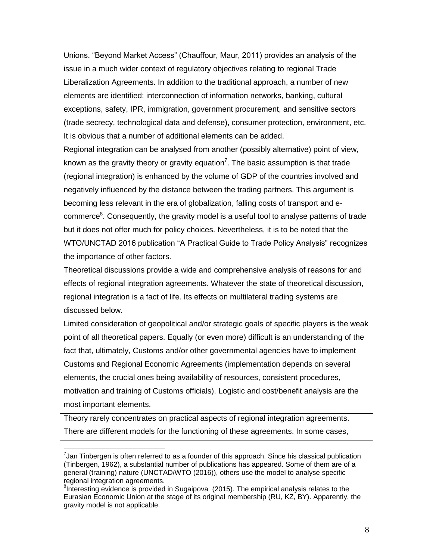Unions. "Beyond Market Access" (Chauffour, Maur, 2011) provides an analysis of the issue in a much wider context of regulatory objectives relating to regional Trade Liberalization Agreements. In addition to the traditional approach, a number of new elements are identified: interconnection of information networks, banking, cultural exceptions, safety, IPR, immigration, government procurement, and sensitive sectors (trade secrecy, technological data and defense), consumer protection, environment, etc. It is obvious that a number of additional elements can be added.

Regional integration can be analysed from another (possibly alternative) point of view, known as the gravity theory or gravity equation<sup>7</sup>. The basic assumption is that trade (regional integration) is enhanced by the volume of GDP of the countries involved and negatively influenced by the distance between the trading partners. This argument is becoming less relevant in the era of globalization, falling costs of transport and ecommerce<sup>8</sup>. Consequently, the gravity model is a useful tool to analyse patterns of trade but it does not offer much for policy choices. Nevertheless, it is to be noted that the WTO/UNCTAD 2016 publication "A Practical Guide to Trade Policy Analysis" recognizes the importance of other factors.

Theoretical discussions provide a wide and comprehensive analysis of reasons for and effects of regional integration agreements. Whatever the state of theoretical discussion, regional integration is a fact of life. Its effects on multilateral trading systems are discussed below.

Limited consideration of geopolitical and/or strategic goals of specific players is the weak point of all theoretical papers. Equally (or even more) difficult is an understanding of the fact that, ultimately, Customs and/or other governmental agencies have to implement Customs and Regional Economic Agreements (implementation depends on several elements, the crucial ones being availability of resources, consistent procedures, motivation and training of Customs officials). Logistic and cost/benefit analysis are the most important elements.

Theory rarely concentrates on practical aspects of regional integration agreements. There are different models for the functioning of these agreements. In some cases,

 7 Jan Tinbergen is often referred to as a founder of this approach. Since his classical publication (Tinbergen, 1962), a substantial number of publications has appeared. Some of them are of a general (training) nature (UNCTAD/WTO (2016)), others use the model to analyse specific regional integration agreements.

<sup>&</sup>lt;sup>8</sup>Interesting evidence is provided in Sugaipova (2015). The empirical analysis relates to the Eurasian Economic Union at the stage of its original membership (RU, KZ, BY). Apparently, the gravity model is not applicable.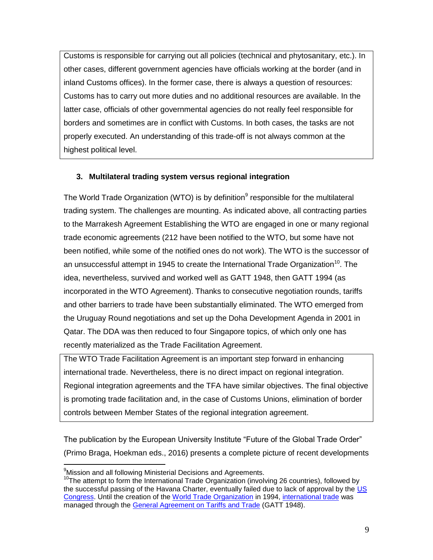Customs is responsible for carrying out all policies (technical and phytosanitary, etc.). In other cases, different government agencies have officials working at the border (and in inland Customs offices). In the former case, there is always a question of resources: Customs has to carry out more duties and no additional resources are available. In the latter case, officials of other governmental agencies do not really feel responsible for borders and sometimes are in conflict with Customs. In both cases, the tasks are not properly executed. An understanding of this trade-off is not always common at the highest political level.

# **3. Multilateral trading system versus regional integration**

The World Trade Organization (WTO) is by definition $9$  responsible for the multilateral trading system. The challenges are mounting. As indicated above, all contracting parties to the Marrakesh Agreement Establishing the WTO are engaged in one or many regional trade economic agreements (212 have been notified to the WTO, but some have not been notified, while some of the notified ones do not work). The WTO is the successor of an unsuccessful attempt in 1945 to create the International Trade Organization<sup>10</sup>. The idea, nevertheless, survived and worked well as GATT 1948, then GATT 1994 (as incorporated in the WTO Agreement). Thanks to consecutive negotiation rounds, tariffs and other barriers to trade have been substantially eliminated. The WTO emerged from the Uruguay Round negotiations and set up the Doha Development Agenda in 2001 in Qatar. The DDA was then reduced to four Singapore topics, of which only one has recently materialized as the Trade Facilitation Agreement.

The WTO Trade Facilitation Agreement is an important step forward in enhancing international trade. Nevertheless, there is no direct impact on regional integration. Regional integration agreements and the TFA have similar objectives. The final objective is promoting trade facilitation and, in the case of Customs Unions, elimination of border controls between Member States of the regional integration agreement.

The publication by the European University Institute "Future of the Global Trade Order" (Primo Braga, Hoekman eds., 2016) presents a complete picture of recent developments

<sup>&</sup>lt;sup>9</sup>Mission and all following Ministerial Decisions and Agreements.

<sup>10</sup>The attempt to form the International Trade Organization (involving 26 countries), followed by the successful passing of the Havana Charter, eventually failed due to lack of approval by the [US](https://en.wikipedia.org/wiki/United_States_Congress)  [Congress.](https://en.wikipedia.org/wiki/United_States_Congress) Until the creation of the [World Trade Organization](https://en.wikipedia.org/wiki/World_Trade_Organization) in 1994, [international trade](https://en.wikipedia.org/wiki/International_trade) was managed through the [General Agreement on Tariffs and Trade](https://en.wikipedia.org/wiki/General_Agreement_on_Tariffs_and_Trade) (GATT 1948).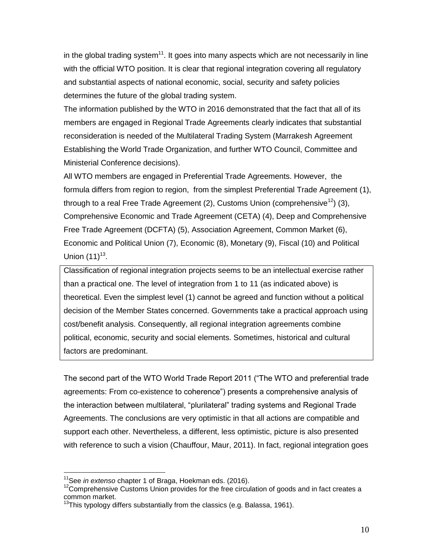in the global trading system<sup>11</sup>. It goes into many aspects which are not necessarily in line with the official WTO position. It is clear that regional integration covering all regulatory and substantial aspects of national economic, social, security and safety policies determines the future of the global trading system.

The information published by the WTO in 2016 demonstrated that the fact that all of its members are engaged in Regional Trade Agreements clearly indicates that substantial reconsideration is needed of the Multilateral Trading System (Marrakesh Agreement Establishing the World Trade Organization, and further WTO Council, Committee and Ministerial Conference decisions).

All WTO members are engaged in Preferential Trade Agreements. However, the formula differs from region to region, from the simplest Preferential Trade Agreement (1), through to a real Free Trade Agreement (2), Customs Union (comprehensive<sup>12</sup>) (3), Comprehensive Economic and Trade Agreement (CETA) (4), Deep and Comprehensive Free Trade Agreement (DCFTA) (5), Association Agreement, Common Market (6), Economic and Political Union (7), Economic (8), Monetary (9), Fiscal (10) and Political Union  $(11)^{13}$ .

Classification of regional integration projects seems to be an intellectual exercise rather than a practical one. The level of integration from 1 to 11 (as indicated above) is theoretical. Even the simplest level (1) cannot be agreed and function without a political decision of the Member States concerned. Governments take a practical approach using cost/benefit analysis. Consequently, all regional integration agreements combine political, economic, security and social elements. Sometimes, historical and cultural factors are predominant.

The second part of the WTO World Trade Report 2011 ("The WTO and preferential trade agreements: From co-existence to coherence") presents a comprehensive analysis of the interaction between multilateral, "plurilateral" trading systems and Regional Trade Agreements. The conclusions are very optimistic in that all actions are compatible and support each other. Nevertheless, a different, less optimistic, picture is also presented with reference to such a vision (Chauffour, Maur, 2011). In fact, regional integration goes

<sup>11</sup>See *in extenso* chapter 1 of Braga, Hoekman eds. (2016).

 $12$ Comprehensive Customs Union provides for the free circulation of goods and in fact creates a  $common$ <br> $\frac{13}{13}$ 

 $3$ This typology differs substantially from the classics (e.g. Balassa, 1961).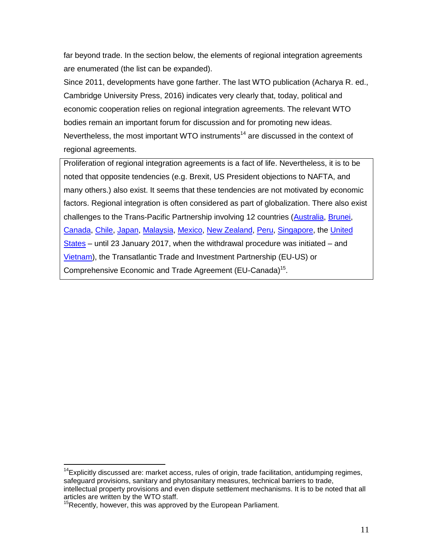far beyond trade. In the section below, the elements of regional integration agreements are enumerated (the list can be expanded).

Since 2011, developments have gone farther. The last WTO publication (Acharya R. ed., Cambridge University Press, 2016) indicates very clearly that, today, political and economic cooperation relies on regional integration agreements. The relevant WTO bodies remain an important forum for discussion and for promoting new ideas. Nevertheless, the most important WTO instruments<sup>14</sup> are discussed in the context of regional agreements.

Proliferation of regional integration agreements is a fact of life. Nevertheless, it is to be noted that opposite tendencies (e.g. Brexit, US President objections to NAFTA, and many others.) also exist. It seems that these tendencies are not motivated by economic factors. Regional integration is often considered as part of globalization. There also exist challenges to the Trans-Pacific Partnership involving 12 countries [\(Australia,](https://en.wikipedia.org/wiki/Australia) [Brunei,](https://en.wikipedia.org/wiki/Brunei) [Canada,](https://en.wikipedia.org/wiki/Canada) [Chile,](https://en.wikipedia.org/wiki/Chile) [Japan,](https://en.wikipedia.org/wiki/Japan) [Malaysia,](https://en.wikipedia.org/wiki/Malaysia) [Mexico,](https://en.wikipedia.org/wiki/Mexico) [New Zealand,](https://en.wikipedia.org/wiki/New_Zealand) [Peru,](https://en.wikipedia.org/wiki/Peru) [Singapore,](https://en.wikipedia.org/wiki/Singapore) the [United](https://en.wikipedia.org/wiki/United_States)  [States](https://en.wikipedia.org/wiki/United_States) – until 23 January 2017, when the withdrawal procedure was initiated – and [Vietnam\)](https://en.wikipedia.org/wiki/Vietnam), the Transatlantic Trade and Investment Partnership (EU-US) or Comprehensive Economic and Trade Agreement (EU-Canada)<sup>15</sup>.

 $14$ Explicitly discussed are: market access, rules of origin, trade facilitation, antidumping regimes, safeguard provisions, sanitary and phytosanitary measures, technical barriers to trade, intellectual property provisions and even dispute settlement mechanisms. It is to be noted that all articles are written by the WTO staff.

<sup>&</sup>lt;sup>15</sup>Recently, however, this was approved by the European Parliament.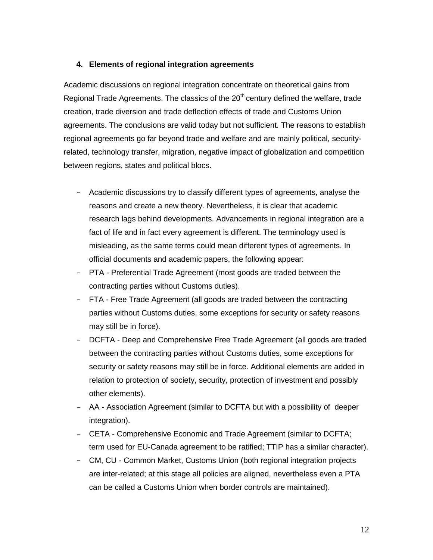## **4. Elements of regional integration agreements**

Academic discussions on regional integration concentrate on theoretical gains from Regional Trade Agreements. The classics of the  $20<sup>th</sup>$  century defined the welfare, trade creation, trade diversion and trade deflection effects of trade and Customs Union agreements. The conclusions are valid today but not sufficient. The reasons to establish regional agreements go far beyond trade and welfare and are mainly political, securityrelated, technology transfer, migration, negative impact of globalization and competition between regions, states and political blocs.

- Academic discussions try to classify different types of agreements, analyse the reasons and create a new theory. Nevertheless, it is clear that academic research lags behind developments. Advancements in regional integration are a fact of life and in fact every agreement is different. The terminology used is misleading, as the same terms could mean different types of agreements. In official documents and academic papers, the following appear:
- PTA Preferential Trade Agreement (most goods are traded between the contracting parties without Customs duties).
- FTA Free Trade Agreement (all goods are traded between the contracting parties without Customs duties, some exceptions for security or safety reasons may still be in force).
- DCFTA Deep and Comprehensive Free Trade Agreement (all goods are traded between the contracting parties without Customs duties, some exceptions for security or safety reasons may still be in force. Additional elements are added in relation to protection of society, security, protection of investment and possibly other elements).
- AA Association Agreement (similar to DCFTA but with a possibility of deeper integration).
- CETA Comprehensive Economic and Trade Agreement (similar to DCFTA; term used for EU-Canada agreement to be ratified; TTIP has a similar character).
- CM, CU Common Market, Customs Union (both regional integration projects are inter-related; at this stage all policies are aligned, nevertheless even a PTA can be called a Customs Union when border controls are maintained).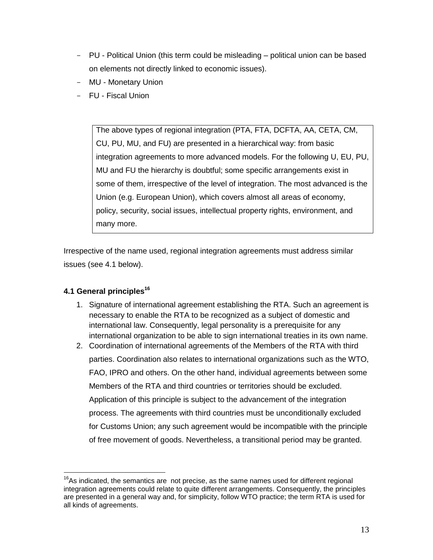- PU Political Union (this term could be misleading political union can be based on elements not directly linked to economic issues).
- MU Monetary Union
- FU Fiscal Union

The above types of regional integration (PTA, FTA, DCFTA, AA, CETA, CM, CU, PU, MU, and FU) are presented in a hierarchical way: from basic integration agreements to more advanced models. For the following U, EU, PU, MU and FU the hierarchy is doubtful; some specific arrangements exist in some of them, irrespective of the level of integration. The most advanced is the Union (e.g. European Union), which covers almost all areas of economy, policy, security, social issues, intellectual property rights, environment, and many more.

Irrespective of the name used, regional integration agreements must address similar issues (see 4.1 below).

# **4.1 General principles<sup>16</sup>**

- 1. Signature of international agreement establishing the RTA. Such an agreement is necessary to enable the RTA to be recognized as a subject of domestic and international law. Consequently, legal personality is a prerequisite for any international organization to be able to sign international treaties in its own name.
- 2. Coordination of international agreements of the Members of the RTA with third parties. Coordination also relates to international organizations such as the WTO, FAO, IPRO and others. On the other hand, individual agreements between some Members of the RTA and third countries or territories should be excluded. Application of this principle is subject to the advancement of the integration process. The agreements with third countries must be unconditionally excluded for Customs Union; any such agreement would be incompatible with the principle of free movement of goods. Nevertheless, a transitional period may be granted.

 $16$ As indicated, the semantics are not precise, as the same names used for different regional integration agreements could relate to quite different arrangements. Consequently, the principles are presented in a general way and, for simplicity, follow WTO practice; the term RTA is used for all kinds of agreements.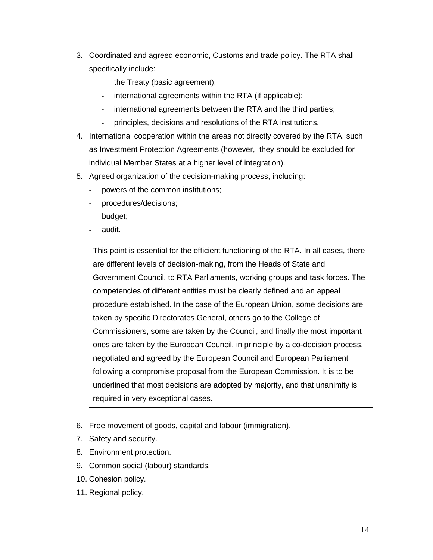- 3. Coordinated and agreed economic, Customs and trade policy. The RTA shall specifically include:
	- the Treaty (basic agreement);
	- international agreements within the RTA (if applicable);
	- international agreements between the RTA and the third parties;
	- principles, decisions and resolutions of the RTA institutions.
- 4. International cooperation within the areas not directly covered by the RTA, such as Investment Protection Agreements (however, they should be excluded for individual Member States at a higher level of integration).
- 5. Agreed organization of the decision-making process, including:
	- powers of the common institutions;
	- procedures/decisions;
	- budget;
	- audit.

This point is essential for the efficient functioning of the RTA. In all cases, there are different levels of decision-making, from the Heads of State and Government Council, to RTA Parliaments, working groups and task forces. The competencies of different entities must be clearly defined and an appeal procedure established. In the case of the European Union, some decisions are taken by specific Directorates General, others go to the College of Commissioners, some are taken by the Council, and finally the most important ones are taken by the European Council, in principle by a co-decision process, negotiated and agreed by the European Council and European Parliament following a compromise proposal from the European Commission. It is to be underlined that most decisions are adopted by majority, and that unanimity is required in very exceptional cases.

- 6. Free movement of goods, capital and labour (immigration).
- 7. Safety and security.
- 8. Environment protection.
- 9. Common social (labour) standards.
- 10. Cohesion policy.
- 11. Regional policy.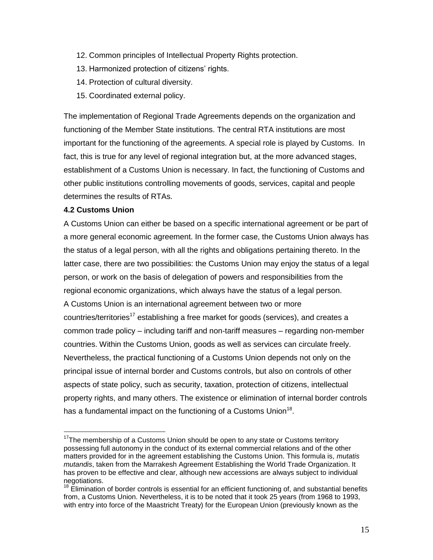- 12. Common principles of Intellectual Property Rights protection.
- 13. Harmonized protection of citizens' rights.
- 14. Protection of cultural diversity.
- 15. Coordinated external policy.

The implementation of Regional Trade Agreements depends on the organization and functioning of the Member State institutions. The central RTA institutions are most important for the functioning of the agreements. A special role is played by Customs. In fact, this is true for any level of regional integration but, at the more advanced stages, establishment of a Customs Union is necessary. In fact, the functioning of Customs and other public institutions controlling movements of goods, services, capital and people determines the results of RTAs.

# **4.2 Customs Union**

 $\overline{a}$ 

A Customs Union can either be based on a specific international agreement or be part of a more general economic agreement. In the former case, the Customs Union always has the status of a legal person, with all the rights and obligations pertaining thereto. In the latter case, there are two possibilities: the Customs Union may enjoy the status of a legal person, or work on the basis of delegation of powers and responsibilities from the regional economic organizations, which always have the status of a legal person. A Customs Union is an international agreement between two or more countries/territories<sup>17</sup> establishing a free market for goods (services), and creates a common trade policy – including tariff and non-tariff measures – regarding non-member countries. Within the Customs Union, goods as well as services can circulate freely. Nevertheless, the practical functioning of a Customs Union depends not only on the principal issue of internal border and Customs controls, but also on controls of other aspects of state policy, such as security, taxation, protection of citizens, intellectual property rights, and many others. The existence or elimination of internal border controls has a fundamental impact on the functioning of a Customs Union<sup>18</sup>.

 $17$ The membership of a Customs Union should be open to any state or Customs territory possessing full autonomy in the conduct of its external commercial relations and of the other matters provided for in the agreement establishing the Customs Union. This formula is, *mutatis mutandis*, taken from the Marrakesh Agreement Establishing the World Trade Organization. It has proven to be effective and clear, although new accessions are always subject to individual negotiations.

 $18$  Elimination of border controls is essential for an efficient functioning of, and substantial benefits from, a Customs Union. Nevertheless, it is to be noted that it took 25 years (from 1968 to 1993, with entry into force of the Maastricht Treaty) for the European Union (previously known as the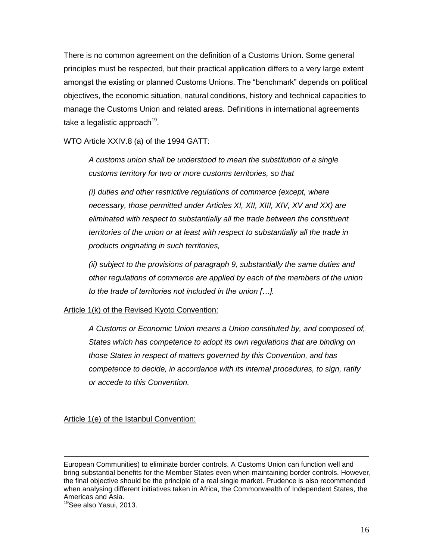There is no common agreement on the definition of a Customs Union. Some general principles must be respected, but their practical application differs to a very large extent amongst the existing or planned Customs Unions. The "benchmark" depends on political objectives, the economic situation, natural conditions, history and technical capacities to manage the Customs Union and related areas. Definitions in international agreements take a legalistic approach $^{19}$ .

## WTO Article XXIV.8 (a) of the 1994 GATT:

*A customs union shall be understood to mean the substitution of a single customs territory for two or more customs territories, so that*

*(i) duties and other restrictive regulations of commerce (except, where necessary, those permitted under Articles XI, XII, XIII, XIV, XV and XX) are eliminated with respect to substantially all the trade between the constituent territories of the union or at least with respect to substantially all the trade in products originating in such territories,*

*(ii) subject to the provisions of paragraph 9, substantially the same duties and other regulations of commerce are applied by each of the members of the union to the trade of territories not included in the union […].*

#### Article 1(k) of the Revised Kyoto Convention:

*A Customs or Economic Union means a Union constituted by, and composed of, States which has competence to adopt its own regulations that are binding on those States in respect of matters governed by this Convention, and has competence to decide, in accordance with its internal procedures, to sign, ratify or accede to this Convention.*

#### Article 1(e) of the Istanbul Convention:

European Communities) to eliminate border controls. A Customs Union can function well and bring substantial benefits for the Member States even when maintaining border controls. However, the final objective should be the principle of a real single market. Prudence is also recommended when analysing different initiatives taken in Africa, the Commonwealth of Independent States, the Americas and Asia.

<sup>&</sup>lt;sup>19</sup>See also Yasui, 2013.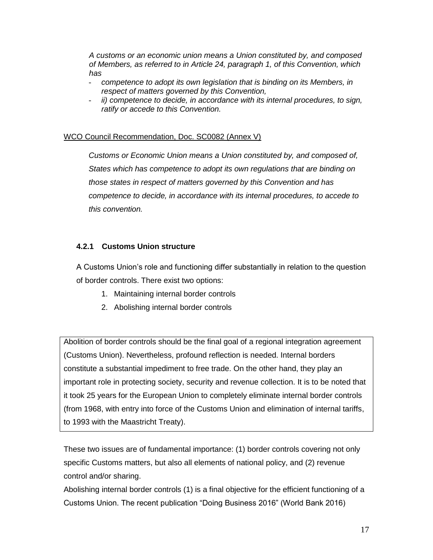*A customs or an economic union means a Union constituted by, and composed of Members, as referred to in Article 24, paragraph 1, of this Convention, which has*

- *competence to adopt its own legislation that is binding on its Members, in respect of matters governed by this Convention,*
- *ii) competence to decide, in accordance with its internal procedures, to sign, ratify or accede to this Convention.*

# WCO Council Recommendation, Doc. SC0082 (Annex V)

*Customs or Economic Union means a Union constituted by, and composed of, States which has competence to adopt its own regulations that are binding on those states in respect of matters governed by this Convention and has competence to decide, in accordance with its internal procedures, to accede to this convention.*

# **4.2.1 Customs Union structure**

A Customs Union's role and functioning differ substantially in relation to the question of border controls. There exist two options:

- 1. Maintaining internal border controls
- 2. Abolishing internal border controls

Abolition of border controls should be the final goal of a regional integration agreement (Customs Union). Nevertheless, profound reflection is needed. Internal borders constitute a substantial impediment to free trade. On the other hand, they play an important role in protecting society, security and revenue collection. It is to be noted that it took 25 years for the European Union to completely eliminate internal border controls (from 1968, with entry into force of the Customs Union and elimination of internal tariffs, to 1993 with the Maastricht Treaty).

These two issues are of fundamental importance: (1) border controls covering not only specific Customs matters, but also all elements of national policy, and (2) revenue control and/or sharing.

Abolishing internal border controls (1) is a final objective for the efficient functioning of a Customs Union. The recent publication "Doing Business 2016" (World Bank 2016)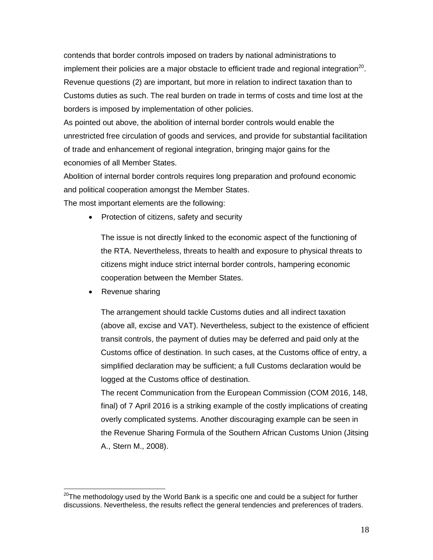contends that border controls imposed on traders by national administrations to implement their policies are a major obstacle to efficient trade and regional integration<sup>20</sup>. Revenue questions (2) are important, but more in relation to indirect taxation than to Customs duties as such. The real burden on trade in terms of costs and time lost at the borders is imposed by implementation of other policies.

As pointed out above, the abolition of internal border controls would enable the unrestricted free circulation of goods and services, and provide for substantial facilitation of trade and enhancement of regional integration, bringing major gains for the economies of all Member States.

Abolition of internal border controls requires long preparation and profound economic and political cooperation amongst the Member States.

The most important elements are the following:

• Protection of citizens, safety and security

The issue is not directly linked to the economic aspect of the functioning of the RTA. Nevertheless, threats to health and exposure to physical threats to citizens might induce strict internal border controls, hampering economic cooperation between the Member States.

Revenue sharing

 $\overline{a}$ 

The arrangement should tackle Customs duties and all indirect taxation (above all, excise and VAT). Nevertheless, subject to the existence of efficient transit controls, the payment of duties may be deferred and paid only at the Customs office of destination. In such cases, at the Customs office of entry, a simplified declaration may be sufficient; a full Customs declaration would be logged at the Customs office of destination.

The recent Communication from the European Commission (COM 2016, 148, final) of 7 April 2016 is a striking example of the costly implications of creating overly complicated systems. Another discouraging example can be seen in the Revenue Sharing Formula of the Southern African Customs Union (Jitsing A., Stern M., 2008).

 $20$ The methodology used by the World Bank is a specific one and could be a subject for further discussions. Nevertheless, the results reflect the general tendencies and preferences of traders.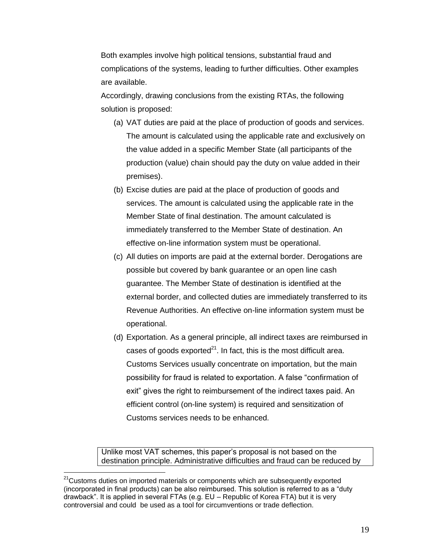Both examples involve high political tensions, substantial fraud and complications of the systems, leading to further difficulties. Other examples are available.

Accordingly, drawing conclusions from the existing RTAs, the following solution is proposed:

- (a) VAT duties are paid at the place of production of goods and services. The amount is calculated using the applicable rate and exclusively on the value added in a specific Member State (all participants of the production (value) chain should pay the duty on value added in their premises).
- (b) Excise duties are paid at the place of production of goods and services. The amount is calculated using the applicable rate in the Member State of final destination. The amount calculated is immediately transferred to the Member State of destination. An effective on-line information system must be operational.
- (c) All duties on imports are paid at the external border. Derogations are possible but covered by bank guarantee or an open line cash guarantee. The Member State of destination is identified at the external border, and collected duties are immediately transferred to its Revenue Authorities. An effective on-line information system must be operational.
- (d) Exportation. As a general principle, all indirect taxes are reimbursed in cases of goods exported $^{21}$ . In fact, this is the most difficult area. Customs Services usually concentrate on importation, but the main possibility for fraud is related to exportation. A false "confirmation of exit" gives the right to reimbursement of the indirect taxes paid. An efficient control (on-line system) is required and sensitization of Customs services needs to be enhanced.

Unlike most VAT schemes, this paper's proposal is not based on the destination principle. Administrative difficulties and fraud can be reduced by

<sup>&</sup>lt;sup>21</sup>Customs duties on imported materials or components which are subsequently exported (incorporated in final products) can be also reimbursed. This solution is referred to as a "duty drawback". It is applied in several FTAs (e.g. EU – Republic of Korea FTA) but it is very controversial and could be used as a tool for circumventions or trade deflection.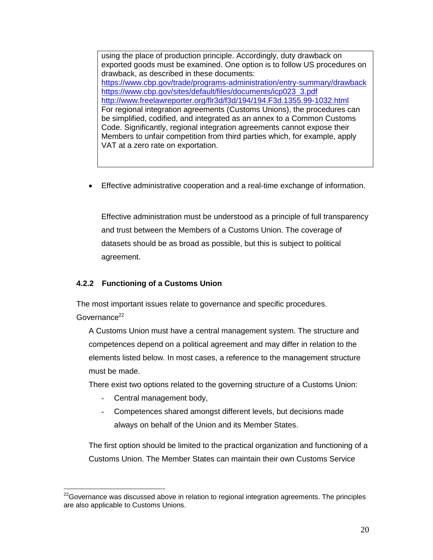using the place of production principle. Accordingly, duty drawback on exported goods must be examined. One option is to follow US procedures on drawback, as described in these documents: <https://www.cbp.gov/trade/programs-administration/entry-summary/drawback> [https://www.cbp.gov/sites/default/files/documents/icp023\\_3.pdf](https://www.cbp.gov/sites/default/files/documents/icp023_3.pdf) <http://www.freelawreporter.org/flr3d/f3d/194/194.F3d.1355.99-1032.html> For regional integration agreements (Customs Unions), the procedures can be simplified, codified, and integrated as an annex to a Common Customs Code. Significantly, regional integration agreements cannot expose their Members to unfair competition from third parties which, for example, apply VAT at a zero rate on exportation.

Effective administrative cooperation and a real-time exchange of information.

Effective administration must be understood as a principle of full transparency and trust between the Members of a Customs Union. The coverage of datasets should be as broad as possible, but this is subject to political agreement.

# **4.2.2 Functioning of a Customs Union**

The most important issues relate to governance and specific procedures. Governance $^{22}$ 

A Customs Union must have a central management system. The structure and competences depend on a political agreement and may differ in relation to the elements listed below. In most cases, a reference to the management structure must be made.

There exist two options related to the governing structure of a Customs Union:

Central management body,

 $\overline{a}$ 

- Competences shared amongst different levels, but decisions made always on behalf of the Union and its Member States.

The first option should be limited to the practical organization and functioning of a Customs Union. The Member States can maintain their own Customs Service

 $22$ Governance was discussed above in relation to regional integration agreements. The principles are also applicable to Customs Unions.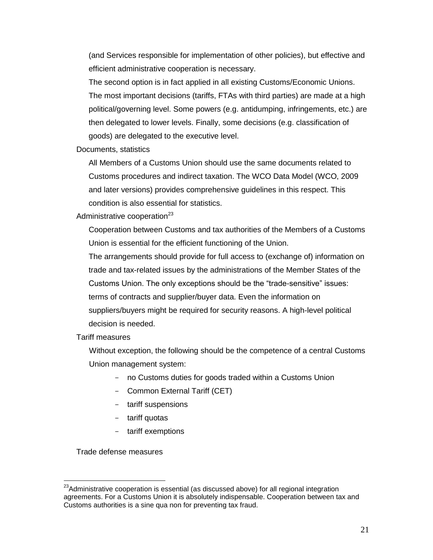(and Services responsible for implementation of other policies), but effective and efficient administrative cooperation is necessary.

The second option is in fact applied in all existing Customs/Economic Unions. The most important decisions (tariffs, FTAs with third parties) are made at a high political/governing level. Some powers (e.g. antidumping, infringements, etc.) are then delegated to lower levels. Finally, some decisions (e.g. classification of goods) are delegated to the executive level.

Documents, statistics

All Members of a Customs Union should use the same documents related to Customs procedures and indirect taxation. The WCO Data Model (WCO, 2009 and later versions) provides comprehensive guidelines in this respect. This condition is also essential for statistics.

Administrative cooperation $^{23}$ 

Cooperation between Customs and tax authorities of the Members of a Customs Union is essential for the efficient functioning of the Union.

The arrangements should provide for full access to (exchange of) information on trade and tax-related issues by the administrations of the Member States of the Customs Union. The only exceptions should be the "trade-sensitive" issues: terms of contracts and supplier/buyer data. Even the information on suppliers/buyers might be required for security reasons. A high-level political decision is needed.

Tariff measures

Without exception, the following should be the competence of a central Customs Union management system:

- no Customs duties for goods traded within a Customs Union
- Common External Tariff (CET)
- tariff suspensions
- tariff quotas
- tariff exemptions

Trade defense measures

<sup>&</sup>lt;sup>23</sup>Administrative cooperation is essential (as discussed above) for all regional integration agreements. For a Customs Union it is absolutely indispensable. Cooperation between tax and Customs authorities is a sine qua non for preventing tax fraud.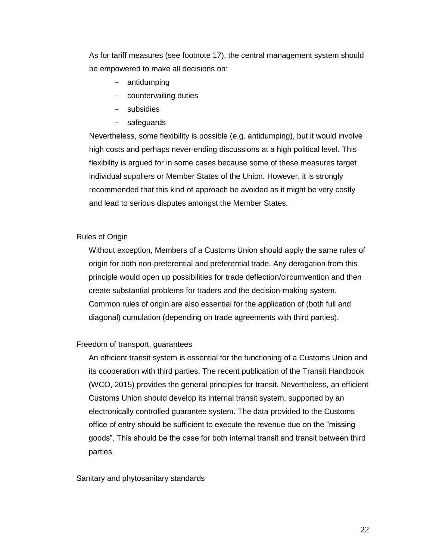As for tariff measures (see footnote 17), the central management system should be empowered to make all decisions on:

- antidumping
- countervailing duties
- subsidies
- safeguards

Nevertheless, some flexibility is possible (e.g. antidumping), but it would involve high costs and perhaps never-ending discussions at a high political level. This flexibility is argued for in some cases because some of these measures target individual suppliers or Member States of the Union. However, it is strongly recommended that this kind of approach be avoided as it might be very costly and lead to serious disputes amongst the Member States.

#### Rules of Origin

Without exception, Members of a Customs Union should apply the same rules of origin for both non-preferential and preferential trade. Any derogation from this principle would open up possibilities for trade deflection/circumvention and then create substantial problems for traders and the decision-making system. Common rules of origin are also essential for the application of (both full and diagonal) cumulation (depending on trade agreements with third parties).

#### Freedom of transport, guarantees

An efficient transit system is essential for the functioning of a Customs Union and its cooperation with third parties. The recent publication of the Transit Handbook (WCO, 2015) provides the general principles for transit. Nevertheless, an efficient Customs Union should develop its internal transit system, supported by an electronically controlled guarantee system. The data provided to the Customs office of entry should be sufficient to execute the revenue due on the "missing goods". This should be the case for both internal transit and transit between third parties.

#### Sanitary and phytosanitary standards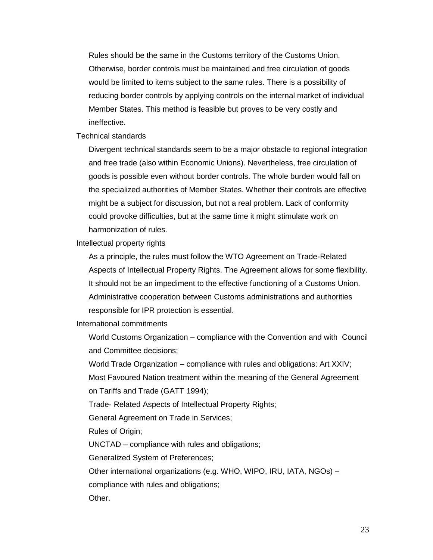Rules should be the same in the Customs territory of the Customs Union. Otherwise, border controls must be maintained and free circulation of goods would be limited to items subject to the same rules. There is a possibility of reducing border controls by applying controls on the internal market of individual Member States. This method is feasible but proves to be very costly and ineffective.

Technical standards

Divergent technical standards seem to be a major obstacle to regional integration and free trade (also within Economic Unions). Nevertheless, free circulation of goods is possible even without border controls. The whole burden would fall on the specialized authorities of Member States. Whether their controls are effective might be a subject for discussion, but not a real problem. Lack of conformity could provoke difficulties, but at the same time it might stimulate work on harmonization of rules.

Intellectual property rights

As a principle, the rules must follow the WTO Agreement on Trade-Related Aspects of Intellectual Property Rights. The Agreement allows for some flexibility. It should not be an impediment to the effective functioning of a Customs Union. Administrative cooperation between Customs administrations and authorities responsible for IPR protection is essential.

International commitments

World Customs Organization – compliance with the Convention and with Council and Committee decisions;

World Trade Organization – compliance with rules and obligations: Art XXIV; Most Favoured Nation treatment within the meaning of the General Agreement

on Tariffs and Trade (GATT 1994);

Trade- Related Aspects of Intellectual Property Rights;

General Agreement on Trade in Services;

Rules of Origin;

UNCTAD – compliance with rules and obligations;

Generalized System of Preferences;

Other international organizations (e.g. WHO, WIPO, IRU, IATA, NGOs) –

compliance with rules and obligations;

Other.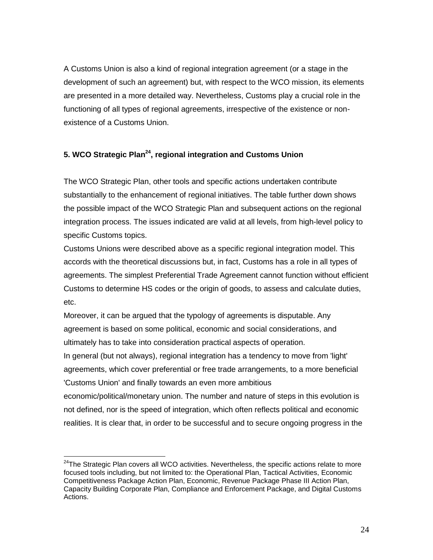A Customs Union is also a kind of regional integration agreement (or a stage in the development of such an agreement) but, with respect to the WCO mission, its elements are presented in a more detailed way. Nevertheless, Customs play a crucial role in the functioning of all types of regional agreements, irrespective of the existence or nonexistence of a Customs Union.

# **5. WCO Strategic Plan<sup>24</sup>, regional integration and Customs Union**

The WCO Strategic Plan, other tools and specific actions undertaken contribute substantially to the enhancement of regional initiatives. The table further down shows the possible impact of the WCO Strategic Plan and subsequent actions on the regional integration process. The issues indicated are valid at all levels, from high-level policy to specific Customs topics.

Customs Unions were described above as a specific regional integration model. This accords with the theoretical discussions but, in fact, Customs has a role in all types of agreements. The simplest Preferential Trade Agreement cannot function without efficient Customs to determine HS codes or the origin of goods, to assess and calculate duties, etc.

Moreover, it can be argued that the typology of agreements is disputable. Any agreement is based on some political, economic and social considerations, and ultimately has to take into consideration practical aspects of operation. In general (but not always), regional integration has a tendency to move from 'light' agreements, which cover preferential or free trade arrangements, to a more beneficial

'Customs Union' and finally towards an even more ambitious

 $\overline{a}$ 

economic/political/monetary union. The number and nature of steps in this evolution is not defined, nor is the speed of integration, which often reflects political and economic realities. It is clear that, in order to be successful and to secure ongoing progress in the

 $24$ The Strategic Plan covers all WCO activities. Nevertheless, the specific actions relate to more focused tools including, but not limited to: the Operational Plan, Tactical Activities, Economic Competitiveness Package Action Plan, Economic, Revenue Package Phase III Action Plan, Capacity Building Corporate Plan, Compliance and Enforcement Package, and Digital Customs Actions.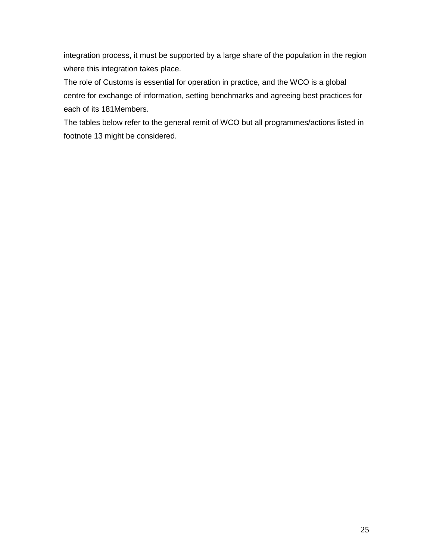integration process, it must be supported by a large share of the population in the region where this integration takes place.

The role of Customs is essential for operation in practice, and the WCO is a global centre for exchange of information, setting benchmarks and agreeing best practices for each of its 181Members.

The tables below refer to the general remit of WCO but all programmes/actions listed in footnote 13 might be considered.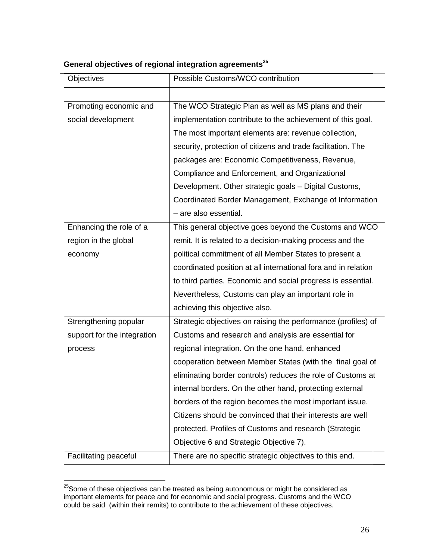| Objectives                  | Possible Customs/WCO contribution                              |
|-----------------------------|----------------------------------------------------------------|
|                             |                                                                |
| Promoting economic and      | The WCO Strategic Plan as well as MS plans and their           |
| social development          | implementation contribute to the achievement of this goal.     |
|                             | The most important elements are: revenue collection,           |
|                             | security, protection of citizens and trade facilitation. The   |
|                             | packages are: Economic Competitiveness, Revenue,               |
|                             | Compliance and Enforcement, and Organizational                 |
|                             | Development. Other strategic goals - Digital Customs,          |
|                             | Coordinated Border Management, Exchange of Information         |
|                             | - are also essential.                                          |
| Enhancing the role of a     | This general objective goes beyond the Customs and WCO         |
| region in the global        | remit. It is related to a decision-making process and the      |
| economy                     | political commitment of all Member States to present a         |
|                             | coordinated position at all international fora and in relation |
|                             | to third parties. Economic and social progress is essential.   |
|                             | Nevertheless, Customs can play an important role in            |
|                             | achieving this objective also.                                 |
| Strengthening popular       | Strategic objectives on raising the performance (profiles) of  |
| support for the integration | Customs and research and analysis are essential for            |
| process                     | regional integration. On the one hand, enhanced                |
|                             | cooperation between Member States (with the final goal of      |
|                             | eliminating border controls) reduces the role of Customs at    |
|                             | internal borders. On the other hand, protecting external       |
|                             | borders of the region becomes the most important issue.        |
|                             | Citizens should be convinced that their interests are well     |
|                             | protected. Profiles of Customs and research (Strategic         |
|                             | Objective 6 and Strategic Objective 7).                        |
| Facilitating peaceful       | There are no specific strategic objectives to this end.        |

# **General objectives of regional integration agreements<sup>25</sup>**

 $^{25}$ Some of these objectives can be treated as being autonomous or might be considered as important elements for peace and for economic and social progress. Customs and the WCO could be said (within their remits) to contribute to the achievement of these objectives.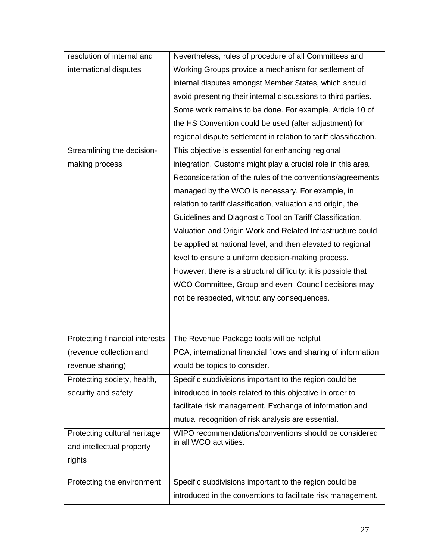| resolution of internal and     | Nevertheless, rules of procedure of all Committees and            |
|--------------------------------|-------------------------------------------------------------------|
| international disputes         | Working Groups provide a mechanism for settlement of              |
|                                | internal disputes amongst Member States, which should             |
|                                | avoid presenting their internal discussions to third parties.     |
|                                | Some work remains to be done. For example, Article 10 of          |
|                                | the HS Convention could be used (after adjustment) for            |
|                                | regional dispute settlement in relation to tariff classification. |
| Streamlining the decision-     | This objective is essential for enhancing regional                |
| making process                 | integration. Customs might play a crucial role in this area.      |
|                                | Reconsideration of the rules of the conventions/agreements        |
|                                | managed by the WCO is necessary. For example, in                  |
|                                | relation to tariff classification, valuation and origin, the      |
|                                | Guidelines and Diagnostic Tool on Tariff Classification,          |
|                                | Valuation and Origin Work and Related Infrastructure could        |
|                                | be applied at national level, and then elevated to regional       |
|                                | level to ensure a uniform decision-making process.                |
|                                | However, there is a structural difficulty: it is possible that    |
|                                | WCO Committee, Group and even Council decisions may               |
|                                | not be respected, without any consequences.                       |
|                                |                                                                   |
|                                |                                                                   |
| Protecting financial interests | The Revenue Package tools will be helpful.                        |
| (revenue collection and        | PCA, international financial flows and sharing of information     |
| revenue sharing)               | would be topics to consider.                                      |
| Protecting society, health,    | Specific subdivisions important to the region could be            |
| security and safety            | introduced in tools related to this objective in order to         |
|                                | facilitate risk management. Exchange of information and           |
|                                | mutual recognition of risk analysis are essential.                |
| Protecting cultural heritage   | WIPO recommendations/conventions should be considered             |
| and intellectual property      | in all WCO activities.                                            |
| rights                         |                                                                   |
|                                |                                                                   |
| Protecting the environment     | Specific subdivisions important to the region could be            |
|                                | introduced in the conventions to facilitate risk management.      |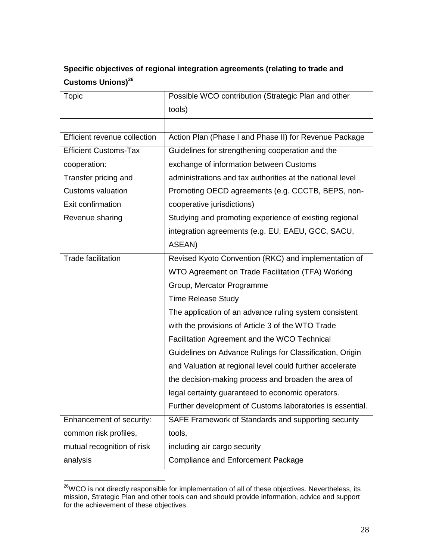# **Specific objectives of regional integration agreements (relating to trade and Customs Unions)<sup>26</sup>**

| <b>Topic</b>                 | Possible WCO contribution (Strategic Plan and other       |
|------------------------------|-----------------------------------------------------------|
|                              | tools)                                                    |
|                              |                                                           |
| Efficient revenue collection | Action Plan (Phase I and Phase II) for Revenue Package    |
| <b>Efficient Customs-Tax</b> | Guidelines for strengthening cooperation and the          |
| cooperation:                 | exchange of information between Customs                   |
| Transfer pricing and         | administrations and tax authorities at the national level |
| <b>Customs valuation</b>     | Promoting OECD agreements (e.g. CCCTB, BEPS, non-         |
| Exit confirmation            | cooperative jurisdictions)                                |
| Revenue sharing              | Studying and promoting experience of existing regional    |
|                              | integration agreements (e.g. EU, EAEU, GCC, SACU,         |
|                              | ASEAN)                                                    |
| <b>Trade facilitation</b>    | Revised Kyoto Convention (RKC) and implementation of      |
|                              | WTO Agreement on Trade Facilitation (TFA) Working         |
|                              | Group, Mercator Programme                                 |
|                              | <b>Time Release Study</b>                                 |
|                              | The application of an advance ruling system consistent    |
|                              | with the provisions of Article 3 of the WTO Trade         |
|                              | Facilitation Agreement and the WCO Technical              |
|                              | Guidelines on Advance Rulings for Classification, Origin  |
|                              | and Valuation at regional level could further accelerate  |
|                              | the decision-making process and broaden the area of       |
|                              | legal certainty guaranteed to economic operators.         |
|                              | Further development of Customs laboratories is essential. |
| Enhancement of security:     | SAFE Framework of Standards and supporting security       |
| common risk profiles,        | tools,                                                    |
| mutual recognition of risk   | including air cargo security                              |
| analysis                     | <b>Compliance and Enforcement Package</b>                 |

 $^{26}$ WCO is not directly responsible for implementation of all of these objectives. Nevertheless, its mission, Strategic Plan and other tools can and should provide information, advice and support for the achievement of these objectives.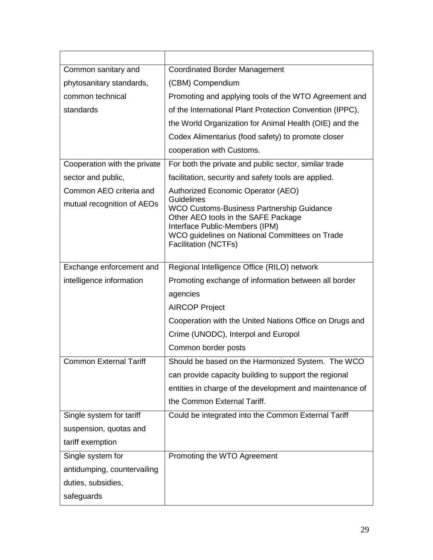| Common sanitary and           | <b>Coordinated Border Management</b>                                                                                                                                                                                            |
|-------------------------------|---------------------------------------------------------------------------------------------------------------------------------------------------------------------------------------------------------------------------------|
| phytosanitary standards,      | (CBM) Compendium                                                                                                                                                                                                                |
| common technical              | Promoting and applying tools of the WTO Agreement and                                                                                                                                                                           |
| standards                     | of the International Plant Protection Convention (IPPC),                                                                                                                                                                        |
|                               | the World Organization for Animal Health (OIE) and the                                                                                                                                                                          |
|                               | Codex Alimentarius (food safety) to promote closer                                                                                                                                                                              |
|                               | cooperation with Customs.                                                                                                                                                                                                       |
| Cooperation with the private  | For both the private and public sector, similar trade                                                                                                                                                                           |
| sector and public,            | facilitation, security and safety tools are applied.                                                                                                                                                                            |
| Common AEO criteria and       | Authorized Economic Operator (AEO)                                                                                                                                                                                              |
| mutual recognition of AEOs    | <b>Guidelines</b><br><b>WCO Customs-Business Partnership Guidance</b><br>Other AEO tools in the SAFE Package<br>Interface Public-Members (IPM)<br>WCO guidelines on National Committees on Trade<br><b>Facilitation (NCTFs)</b> |
| Exchange enforcement and      | Regional Intelligence Office (RILO) network                                                                                                                                                                                     |
| intelligence information      | Promoting exchange of information between all border                                                                                                                                                                            |
|                               | agencies                                                                                                                                                                                                                        |
|                               | <b>AIRCOP Project</b>                                                                                                                                                                                                           |
|                               | Cooperation with the United Nations Office on Drugs and                                                                                                                                                                         |
|                               | Crime (UNODC), Interpol and Europol                                                                                                                                                                                             |
|                               | Common border posts                                                                                                                                                                                                             |
| <b>Common External Tariff</b> | Should be based on the Harmonized System. The WCO                                                                                                                                                                               |
|                               | can provide capacity building to support the regional                                                                                                                                                                           |
|                               | entities in charge of the development and maintenance of                                                                                                                                                                        |
|                               | the Common External Tariff.                                                                                                                                                                                                     |
| Single system for tariff      | Could be integrated into the Common External Tariff                                                                                                                                                                             |
| suspension, quotas and        |                                                                                                                                                                                                                                 |
| tariff exemption              |                                                                                                                                                                                                                                 |
| Single system for             | Promoting the WTO Agreement                                                                                                                                                                                                     |
| antidumping, countervailing   |                                                                                                                                                                                                                                 |
| duties, subsidies,            |                                                                                                                                                                                                                                 |
| safeguards                    |                                                                                                                                                                                                                                 |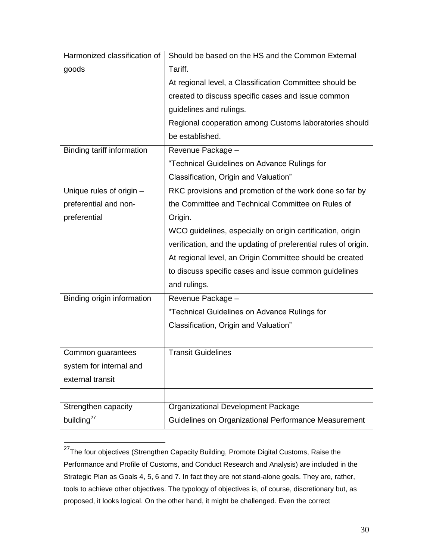| Harmonized classification of | Should be based on the HS and the Common External               |
|------------------------------|-----------------------------------------------------------------|
| goods                        | Tariff.                                                         |
|                              | At regional level, a Classification Committee should be         |
|                              | created to discuss specific cases and issue common              |
|                              | guidelines and rulings.                                         |
|                              | Regional cooperation among Customs laboratories should          |
|                              | be established.                                                 |
| Binding tariff information   | Revenue Package -                                               |
|                              | "Technical Guidelines on Advance Rulings for                    |
|                              | Classification, Origin and Valuation"                           |
| Unique rules of origin -     | RKC provisions and promotion of the work done so far by         |
| preferential and non-        | the Committee and Technical Committee on Rules of               |
| preferential                 | Origin.                                                         |
|                              | WCO guidelines, especially on origin certification, origin      |
|                              | verification, and the updating of preferential rules of origin. |
|                              | At regional level, an Origin Committee should be created        |
|                              | to discuss specific cases and issue common guidelines           |
|                              | and rulings.                                                    |
| Binding origin information   | Revenue Package -                                               |
|                              | "Technical Guidelines on Advance Rulings for                    |
|                              | Classification, Origin and Valuation"                           |
|                              |                                                                 |
| Common guarantees            | <b>Transit Guidelines</b>                                       |
| system for internal and      |                                                                 |
| external transit             |                                                                 |
|                              |                                                                 |
| Strengthen capacity          | Organizational Development Package                              |
| building <sup>27</sup>       | Guidelines on Organizational Performance Measurement            |

<sup>&</sup>lt;sup>27</sup>The four objectives (Strengthen Capacity Building, Promote Digital Customs, Raise the Performance and Profile of Customs, and Conduct Research and Analysis) are included in the Strategic Plan as Goals 4, 5, 6 and 7. In fact they are not stand-alone goals. They are, rather, tools to achieve other objectives. The typology of objectives is, of course, discretionary but, as proposed, it looks logical. On the other hand, it might be challenged. Even the correct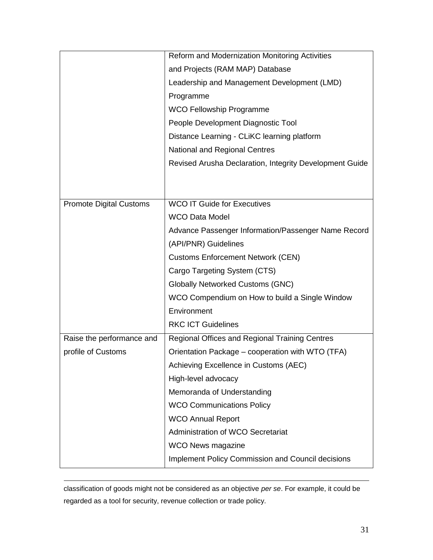|                                | Reform and Modernization Monitoring Activities          |
|--------------------------------|---------------------------------------------------------|
|                                | and Projects (RAM MAP) Database                         |
|                                | Leadership and Management Development (LMD)             |
|                                | Programme                                               |
|                                | <b>WCO Fellowship Programme</b>                         |
|                                | People Development Diagnostic Tool                      |
|                                | Distance Learning - CLiKC learning platform             |
|                                | National and Regional Centres                           |
|                                | Revised Arusha Declaration, Integrity Development Guide |
|                                |                                                         |
|                                |                                                         |
| <b>Promote Digital Customs</b> | <b>WCO IT Guide for Executives</b>                      |
|                                | <b>WCO Data Model</b>                                   |
|                                | Advance Passenger Information/Passenger Name Record     |
|                                | (API/PNR) Guidelines                                    |
|                                | <b>Customs Enforcement Network (CEN)</b>                |
|                                | Cargo Targeting System (CTS)                            |
|                                | <b>Globally Networked Customs (GNC)</b>                 |
|                                | WCO Compendium on How to build a Single Window          |
|                                | Environment                                             |
|                                | <b>RKC ICT Guidelines</b>                               |
| Raise the performance and      | Regional Offices and Regional Training Centres          |
| profile of Customs             | Orientation Package - cooperation with WTO (TFA)        |
|                                | Achieving Excellence in Customs (AEC)                   |
|                                | High-level advocacy                                     |
|                                | Memoranda of Understanding                              |
|                                | <b>WCO Communications Policy</b>                        |
|                                | <b>WCO Annual Report</b>                                |
|                                | Administration of WCO Secretariat                       |
|                                | <b>WCO News magazine</b>                                |
|                                | Implement Policy Commission and Council decisions       |

classification of goods might not be considered as an objective *per se*. For example, it could be regarded as a tool for security, revenue collection or trade policy.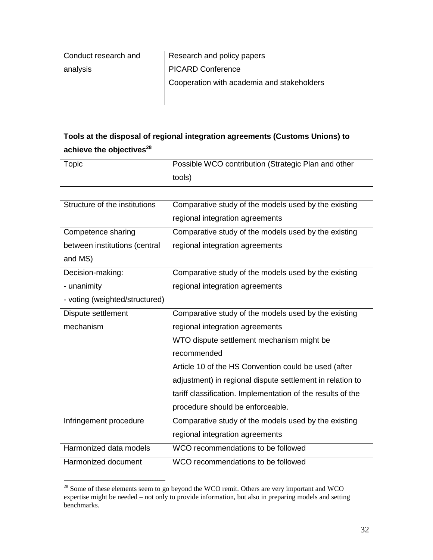| Conduct research and | Research and policy papers                 |
|----------------------|--------------------------------------------|
| analysis             | <b>PICARD Conference</b>                   |
|                      | Cooperation with academia and stakeholders |
|                      |                                            |

# **Tools at the disposal of regional integration agreements (Customs Unions) to achieve the objectives<sup>28</sup>**

| Topic                          | Possible WCO contribution (Strategic Plan and other         |
|--------------------------------|-------------------------------------------------------------|
|                                | tools)                                                      |
|                                |                                                             |
| Structure of the institutions  | Comparative study of the models used by the existing        |
|                                | regional integration agreements                             |
| Competence sharing             | Comparative study of the models used by the existing        |
| between institutions (central  | regional integration agreements                             |
| and MS)                        |                                                             |
| Decision-making:               | Comparative study of the models used by the existing        |
| - unanimity                    | regional integration agreements                             |
| - voting (weighted/structured) |                                                             |
| Dispute settlement             | Comparative study of the models used by the existing        |
| mechanism                      | regional integration agreements                             |
|                                | WTO dispute settlement mechanism might be                   |
|                                | recommended                                                 |
|                                | Article 10 of the HS Convention could be used (after        |
|                                | adjustment) in regional dispute settlement in relation to   |
|                                | tariff classification. Implementation of the results of the |
|                                | procedure should be enforceable.                            |
| Infringement procedure         | Comparative study of the models used by the existing        |
|                                | regional integration agreements                             |
| Harmonized data models         | WCO recommendations to be followed                          |
| Harmonized document            | WCO recommendations to be followed                          |

 $28$  Some of these elements seem to go beyond the WCO remit. Others are very important and WCO expertise might be needed – not only to provide information, but also in preparing models and setting benchmarks.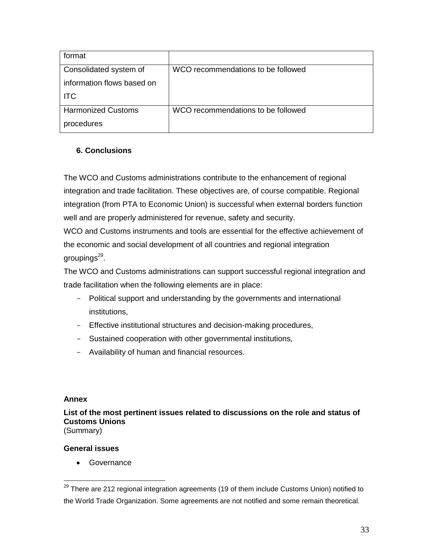| format                     |                                    |
|----------------------------|------------------------------------|
| Consolidated system of     | WCO recommendations to be followed |
| information flows based on |                                    |
| <b>ITC</b>                 |                                    |
| <b>Harmonized Customs</b>  | WCO recommendations to be followed |
| procedures                 |                                    |

# **6. Conclusions**

The WCO and Customs administrations contribute to the enhancement of regional integration and trade facilitation. These objectives are, of course compatible. Regional integration (from PTA to Economic Union) is successful when external borders function well and are properly administered for revenue, safety and security.

WCO and Customs instruments and tools are essential for the effective achievement of the economic and social development of all countries and regional integration groupings<sup>29</sup>.

The WCO and Customs administrations can support successful regional integration and trade facilitation when the following elements are in place:

- Political support and understanding by the governments and international institutions,
- Effective institutional structures and decision-making procedures,
- Sustained cooperation with other governmental institutions,
- Availability of human and financial resources.

## **Annex**

 $\overline{a}$ 

**List of the most pertinent issues related to discussions on the role and status of Customs Unions** (Summary)

# **General issues**

**•** Governance

 $^{29}$  There are 212 regional integration agreements (19 of them include Customs Union) notified to the World Trade Organization. Some agreements are not notified and some remain theoretical.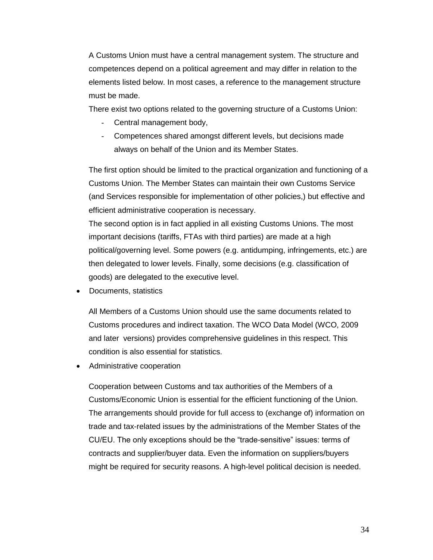A Customs Union must have a central management system. The structure and competences depend on a political agreement and may differ in relation to the elements listed below. In most cases, a reference to the management structure must be made.

There exist two options related to the governing structure of a Customs Union:

- Central management body,
- Competences shared amongst different levels, but decisions made always on behalf of the Union and its Member States.

The first option should be limited to the practical organization and functioning of a Customs Union. The Member States can maintain their own Customs Service (and Services responsible for implementation of other policies,) but effective and efficient administrative cooperation is necessary.

The second option is in fact applied in all existing Customs Unions. The most important decisions (tariffs, FTAs with third parties) are made at a high political/governing level. Some powers (e.g. antidumping, infringements, etc.) are then delegated to lower levels. Finally, some decisions (e.g. classification of goods) are delegated to the executive level.

Documents, statistics

All Members of a Customs Union should use the same documents related to Customs procedures and indirect taxation. The WCO Data Model (WCO, 2009 and later versions) provides comprehensive guidelines in this respect. This condition is also essential for statistics.

Administrative cooperation

Cooperation between Customs and tax authorities of the Members of a Customs/Economic Union is essential for the efficient functioning of the Union. The arrangements should provide for full access to (exchange of) information on trade and tax-related issues by the administrations of the Member States of the CU/EU. The only exceptions should be the "trade-sensitive" issues: terms of contracts and supplier/buyer data. Even the information on suppliers/buyers might be required for security reasons. A high-level political decision is needed.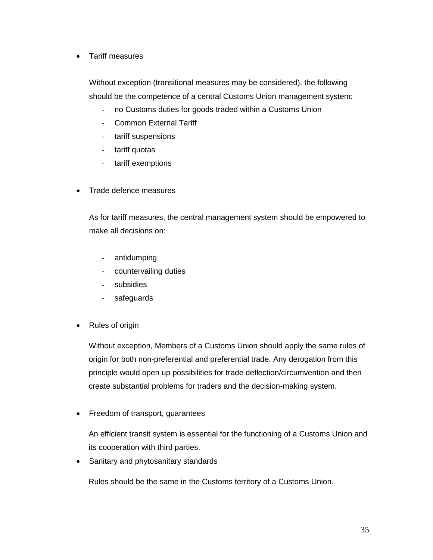Tariff measures

Without exception (transitional measures may be considered), the following should be the competence of a central Customs Union management system:

- no Customs duties for goods traded within a Customs Union
- Common External Tariff
- tariff suspensions
- tariff quotas
- tariff exemptions
- Trade defence measures

As for tariff measures, the central management system should be empowered to make all decisions on:

- antidumping
- countervailing duties
- subsidies
- safeguards
- Rules of origin

Without exception, Members of a Customs Union should apply the same rules of origin for both non-preferential and preferential trade. Any derogation from this principle would open up possibilities for trade deflection/circumvention and then create substantial problems for traders and the decision-making system.

• Freedom of transport, guarantees

An efficient transit system is essential for the functioning of a Customs Union and its cooperation with third parties.

• Sanitary and phytosanitary standards

Rules should be the same in the Customs territory of a Customs Union.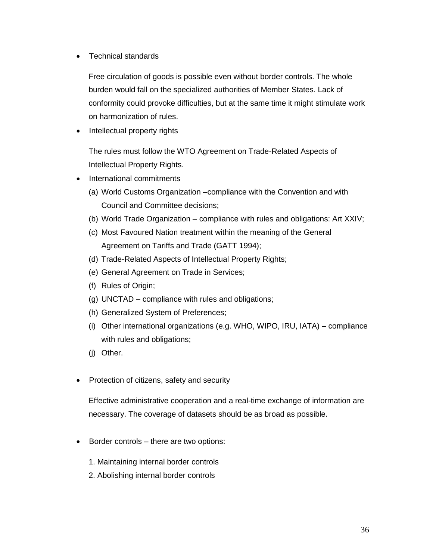• Technical standards

Free circulation of goods is possible even without border controls. The whole burden would fall on the specialized authorities of Member States. Lack of conformity could provoke difficulties, but at the same time it might stimulate work on harmonization of rules.

• Intellectual property rights

The rules must follow the WTO Agreement on Trade-Related Aspects of Intellectual Property Rights.

- International commitments
	- (a) World Customs Organization –compliance with the Convention and with Council and Committee decisions;
	- (b) World Trade Organization compliance with rules and obligations: Art XXIV;
	- (c) Most Favoured Nation treatment within the meaning of the General Agreement on Tariffs and Trade (GATT 1994);
	- (d) Trade-Related Aspects of Intellectual Property Rights;
	- (e) General Agreement on Trade in Services;
	- (f) Rules of Origin;
	- (g) UNCTAD compliance with rules and obligations;
	- (h) Generalized System of Preferences;
	- (i) Other international organizations (e.g. WHO, WIPO, IRU, IATA) compliance with rules and obligations;
	- (j) Other.
- Protection of citizens, safety and security

Effective administrative cooperation and a real-time exchange of information are necessary. The coverage of datasets should be as broad as possible.

- Border controls there are two options:
	- 1. Maintaining internal border controls
	- 2. Abolishing internal border controls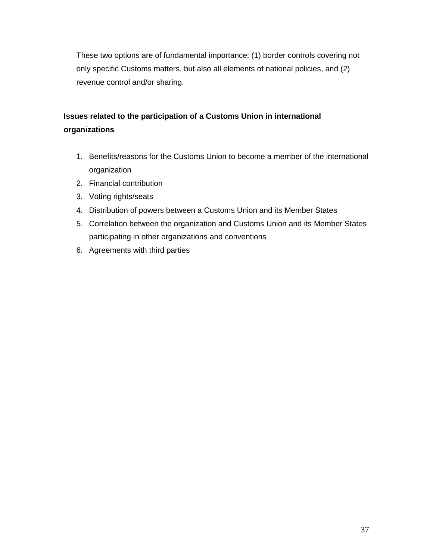These two options are of fundamental importance: (1) border controls covering not only specific Customs matters, but also all elements of national policies, and (2) revenue control and/or sharing.

# **Issues related to the participation of a Customs Union in international organizations**

- 1. Benefits/reasons for the Customs Union to become a member of the international organization
- 2. Financial contribution
- 3. Voting rights/seats
- 4. Distribution of powers between a Customs Union and its Member States
- 5. Correlation between the organization and Customs Union and its Member States participating in other organizations and conventions
- 6. Agreements with third parties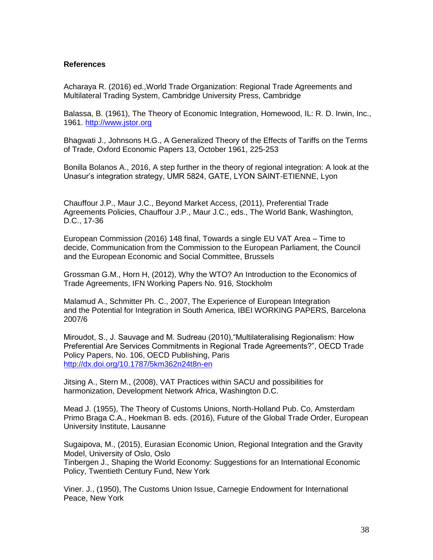### **References**

Acharaya R. (2016) ed.,World Trade Organization: Regional Trade Agreements and Multilateral Trading System, Cambridge University Press, Cambridge

Balassa, B. (1961), The Theory of Economic Integration, Homewood, IL: R. D. Irwin, Inc., 1961. [http://www.jstor.org](http://www.jstor.org/)

Bhagwati J., Johnsons H.G., A Generalized Theory of the Effects of Tariffs on the Terms of Trade, Oxford Economic Papers 13, October 1961, 225-253

Bonilla Bolanos A., 2016, A step further in the theory of regional integration: A look at the Unasur's integration strategy, UMR 5824, GATE, LYON SAINT-ETIENNE, Lyon

Chauffour J.P., Maur J.C., Beyond Market Access, (2011), Preferential Trade Agreements Policies, Chauffour J.P., Maur J.C., eds., The World Bank, Washington, D.C., 17-36

European Commission (2016) 148 final, Towards a single EU VAT Area – Time to decide, Communication from the Commission to the European Parliament, the Council and the European Economic and Social Committee, Brussels

Grossman G.M., Horn H, (2012), Why the WTO? An Introduction to the Economics of Trade Agreements, IFN Working Papers No. 916, Stockholm

Malamud A., Schmitter Ph. C., 2007, The Experience of European Integration and the Potential for Integration in South America, IBEI WORKING PAPERS, Barcelona 2007/6

Miroudot, S., J. Sauvage and M. Sudreau (2010),"Multilateralising Regionalism: How Preferential Are Services Commitments in Regional Trade Agreements?", OECD Trade Policy Papers, No. 106, OECD Publishing, Paris <http://dx.doi.org/10.1787/5km362n24t8n-en>

Jitsing A., Stern M., (2008), VAT Practices within SACU and possibilities for harmonization, Development Network Africa, Washington D.C.

Mead J. (1955), The Theory of Customs Unions, North-Holland Pub. Co, Amsterdam Primo Braga C.A., Hoekman B. eds. (2016), Future of the Global Trade Order, European University Institute, Lausanne

Sugaipova, M., (2015), Eurasian Economic Union, Regional Integration and the Gravity Model, University of Oslo, Oslo

Tinbergen J., Shaping the World Economy: Suggestions for an International Economic Policy, Twentieth Century Fund, New York

Viner. J., (1950), The Customs Union Issue, Carnegie Endowment for International Peace, New York